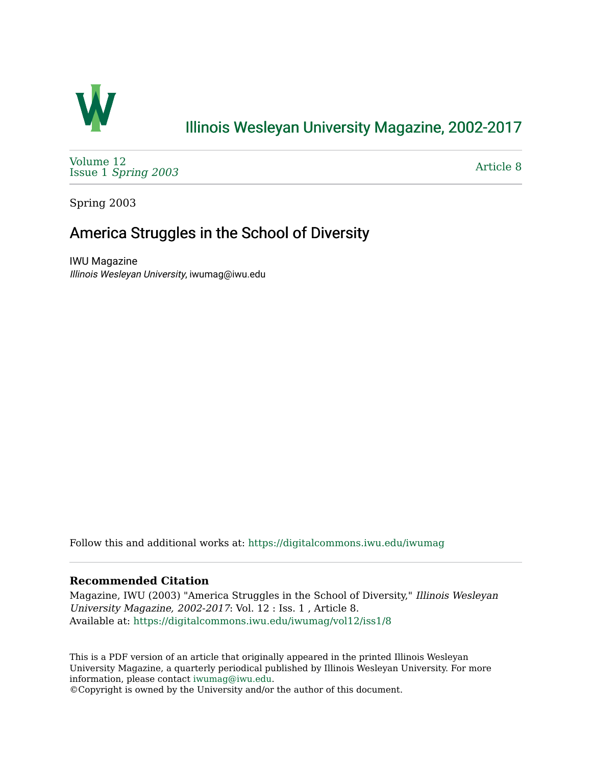

## [Illinois Wesleyan University Magazine, 2002-2017](https://digitalcommons.iwu.edu/iwumag)

[Volume 12](https://digitalcommons.iwu.edu/iwumag/vol12)  Issue 1 [Spring 2003](https://digitalcommons.iwu.edu/iwumag/vol12/iss1)

[Article 8](https://digitalcommons.iwu.edu/iwumag/vol12/iss1/8) 

Spring 2003

## America Struggles in the School of Diversity

IWU Magazine Illinois Wesleyan University, iwumag@iwu.edu

Follow this and additional works at: [https://digitalcommons.iwu.edu/iwumag](https://digitalcommons.iwu.edu/iwumag?utm_source=digitalcommons.iwu.edu%2Fiwumag%2Fvol12%2Fiss1%2F8&utm_medium=PDF&utm_campaign=PDFCoverPages) 

## **Recommended Citation**

Magazine, IWU (2003) "America Struggles in the School of Diversity," Illinois Wesleyan University Magazine, 2002-2017: Vol. 12 : Iss. 1 , Article 8. Available at: [https://digitalcommons.iwu.edu/iwumag/vol12/iss1/8](https://digitalcommons.iwu.edu/iwumag/vol12/iss1/8?utm_source=digitalcommons.iwu.edu%2Fiwumag%2Fvol12%2Fiss1%2F8&utm_medium=PDF&utm_campaign=PDFCoverPages)

This is a PDF version of an article that originally appeared in the printed Illinois Wesleyan University Magazine, a quarterly periodical published by Illinois Wesleyan University. For more information, please contact [iwumag@iwu.edu](mailto:iwumag@iwu.edu).

©Copyright is owned by the University and/or the author of this document.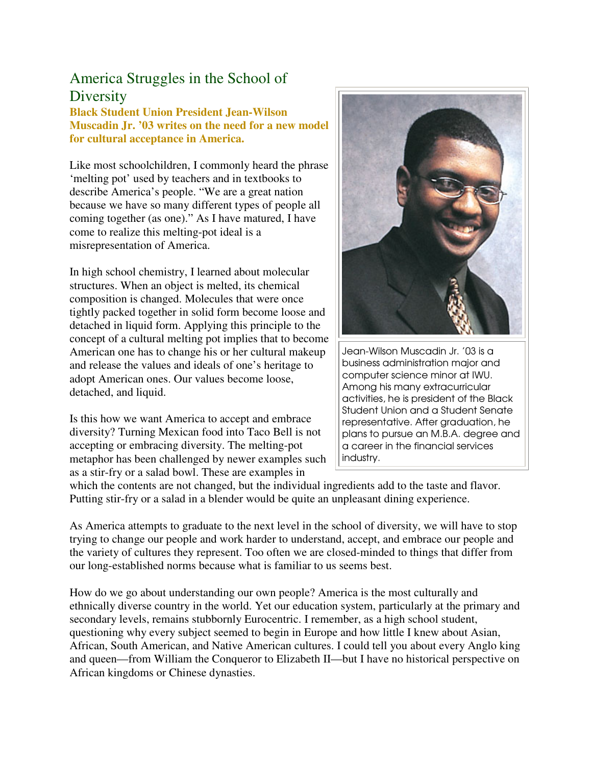## America Struggles in the School of **Diversity**

**Black Student Union President Jean-Wilson Muscadin Jr. '03 writes on the need for a new model for cultural acceptance in America.** 

Like most schoolchildren, I commonly heard the phrase 'melting pot' used by teachers and in textbooks to describe America's people. "We are a great nation because we have so many different types of people all coming together (as one)." As I have matured, I have come to realize this melting-pot ideal is a misrepresentation of America.

In high school chemistry, I learned about molecular structures. When an object is melted, its chemical composition is changed. Molecules that were once tightly packed together in solid form become loose and detached in liquid form. Applying this principle to the concept of a cultural melting pot implies that to become American one has to change his or her cultural makeup and release the values and ideals of one's heritage to adopt American ones. Our values become loose, detached, and liquid.

Is this how we want America to accept and embrace diversity? Turning Mexican food into Taco Bell is not accepting or embracing diversity. The melting-pot metaphor has been challenged by newer examples such as a stir-fry or a salad bowl. These are examples in



Jean-Wilson Muscadin Jr. '03 is a business administration major and computer science minor at IWU. Among his many extracurricular activities, he is president of the Black Student Union and a Student Senate representative. After graduation, he plans to pursue an M.B.A. degree and a career in the financial services industry.

which the contents are not changed, but the individual ingredients add to the taste and flavor. Putting stir-fry or a salad in a blender would be quite an unpleasant dining experience.

As America attempts to graduate to the next level in the school of diversity, we will have to stop trying to change our people and work harder to understand, accept, and embrace our people and the variety of cultures they represent. Too often we are closed-minded to things that differ from our long-established norms because what is familiar to us seems best.

How do we go about understanding our own people? America is the most culturally and ethnically diverse country in the world. Yet our education system, particularly at the primary and secondary levels, remains stubbornly Eurocentric. I remember, as a high school student, questioning why every subject seemed to begin in Europe and how little I knew about Asian, African, South American, and Native American cultures. I could tell you about every Anglo king and queen—from William the Conqueror to Elizabeth II—but I have no historical perspective on African kingdoms or Chinese dynasties.